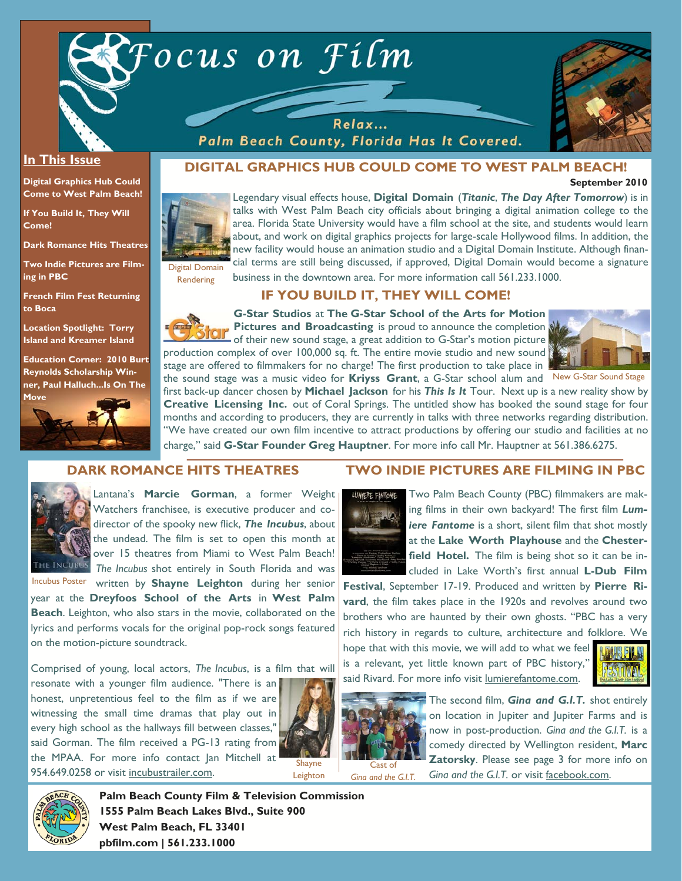



#### **In This Issue**

**Digital Graphics Hub Could Come to West Palm Beach!** 

**If You Build It, They Will Come!** 

**Dark Romance Hits Theatres** 

**Two Indie Pictures are Filming in PBC** 

**French Film Fest Returning to Boca** 

**Location Spotlight: Torry Island and Kreamer Island** 

**Education Corner: 2010 Burt Reynolds Scholarship Winner, Paul Halluch...Is On The** 



# **DIGITAL GRAPHICS HUB COULD COME TO WEST PALM BEACH!**

Palm Beach County, Florida Has It Covered.





Legendary visual effects house, **Digital Domain** (*Titanic*, *The Day After Tomorrow*) is in talks with West Palm Beach city officials about bringing a digital animation college to the area. Florida State University would have a film school at the site, and students would learn about, and work on digital graphics projects for large-scale Hollywood films. In addition, the new facility would house an animation studio and a Digital Domain Institute. Although financial terms are still being discussed, if approved, Digital Domain would become a signature business in the downtown area. For more information call 561.233.1000.

Digital Domain Rendering

# **IF YOU BUILD IT, THEY WILL COME!**

**G-Star Studios** at **The G-Star School of the Arts for Motion Pictures and Broadcasting** is proud to announce the completion of their new sound stage, a great addition to G-Star's motion picture production complex of over 100,000 sq. ft. The entire movie studio and new sound stage are offered to filmmakers for no charge! The first production to take place in



the sound stage was a music video for **Kriyss Grant**, a G-Star school alum and New G-Star Sound Stage first back-up dancer chosen by **Michael Jackson** for his *This Is It* Tour. Next up is a new reality show by **Creative Licensing Inc.** out of Coral Springs. The untitled show has booked the sound stage for four months and according to producers, they are currently in talks with three networks regarding distribution. "We have created our own film incentive to attract productions by offering our studio and facilities at no charge," said **G-Star Founder Greg Hauptner**. For more info call Mr. Hauptner at 561.386.6275.

#### **DARK ROMANCE HITS THEATRES**



Lantana's **Marcie Gorman**, a former Weight Watchers franchisee, is executive producer and codirector of the spooky new flick, *The Incubus*, about the undead. The film is set to open this month at over 15 theatres from Miami to West Palm Beach! *The Incubus* shot entirely in South Florida and was

Incubus Poster written by Shayne Leighton during her senior year at the **Dreyfoos School of the Arts** in **West Palm Beach**. Leighton, who also stars in the movie, collaborated on the lyrics and performs vocals for the original pop-rock songs featured on the motion-picture soundtrack.

Comprised of young, local actors, *The Incubus*, is a film that will

resonate with a younger film audience. "There is an honest, unpretentious feel to the film as if we are witnessing the small time dramas that play out in every high school as the hallways fill between classes," said Gorman. The film received a PG-13 rating from the MPAA. For more info contact Jan Mitchell at 954.649.0258 or visit incubustrailer.com.





Two Palm Beach County (PBC) filmmakers are making films in their own backyard! The first film *Lumiere Fantome* is a short, silent film that shot mostly at the **Lake Worth Playhouse** and the **Chesterfield Hotel.** The film is being shot so it can be included in Lake Worth's first annual **L-Dub Film** 

**Festival**, September 17-19. Produced and written by **Pierre Rivard**, the film takes place in the 1920s and revolves around two brothers who are haunted by their own ghosts. "PBC has a very rich history in regards to culture, architecture and folklore. We

hope that with this movie, we will add to what we feel is a relevant, yet little known part of PBC history," said Rivard. For more info visit lumierefantome.com.





The second film, *Gina and G.I.T.* shot entirely on location in Jupiter and Jupiter Farms and is now in post-production. *Gina and the G.I.T.* is a comedy directed by Wellington resident, **Marc Zatorsky**. Please see page 3 for more info on Cast of **ZALOT SKY:** Trease see page 5 for thore cast of **CALC SKY:** Gina and the G.I.T. or visit facebook.com.



**Palm Beach County Film & Television Commission 1555 Palm Beach Lakes Blvd., Suite 900 West Palm Beach, FL 33401 pbfilm.com | 561.233.1000** 

# **TWO INDIE PICTURES ARE FILMING IN PBC**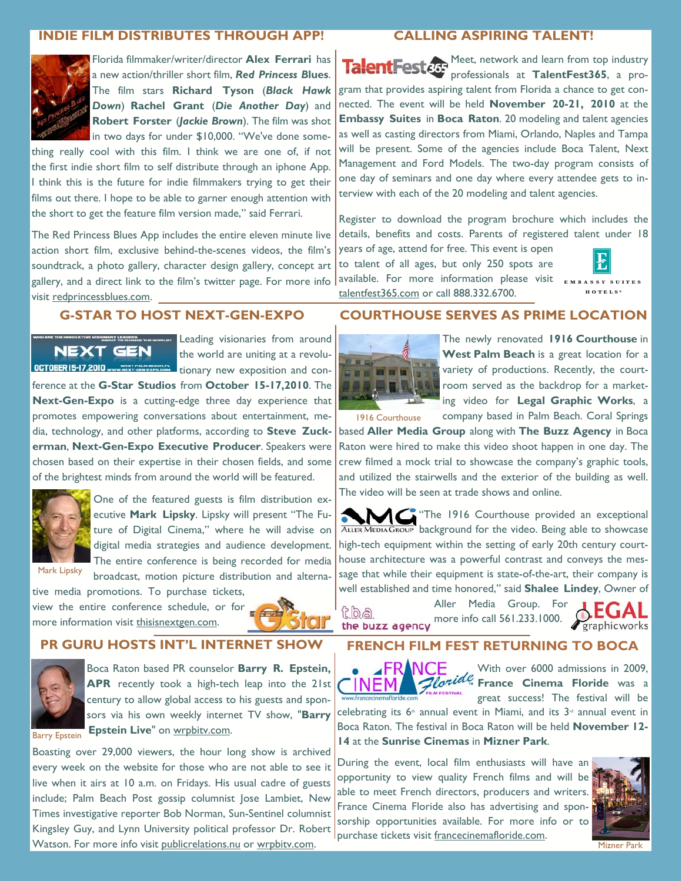# **INDIE FILM DISTRIBUTES THROUGH APP!**



Florida filmmaker/writer/director **Alex Ferrari** has a new action/thriller short film, *Red Princess B***lues**. The film stars **Richard Tyson** (*Black Hawk Down*) **Rachel Grant** (*Die Another Day*) and **Robert Forster** (*Jackie Brown*). The film was shot in two days for under \$10,000. "We've done some-

thing really cool with this film. I think we are one of, if not the first indie short film to self distribute through an iphone App. I think this is the future for indie filmmakers trying to get their films out there. I hope to be able to garner enough attention with the short to get the feature film version made," said Ferrari.

The Red Princess Blues App includes the entire eleven minute live action short film, exclusive behind-the-scenes videos, the film's soundtrack, a photo gallery, character design gallery, concept art gallery, and a direct link to the film's twitter page. For more info visit redprincessblues.com.

#### **G-STAR TO HOST NEXT-GEN-EXPO**

NEXT GEN OCTOBER 15-17,2010 www.west.com/expandings.r.

**CHARY LEADER CONDUCT THE WORLD?** Leading visionaries from around the world are uniting at a revolutionary new exposition and con-

ference at the **G-Star Studios** from **October 15-17,2010**. The **Next-Gen-Expo** is a cutting-edge three day experience that promotes empowering conversations about entertainment, media, technology, and other platforms, according to **Steve Zuckerman**, **Next-Gen-Expo Executive Producer**. Speakers were chosen based on their expertise in their chosen fields, and some of the brightest minds from around the world will be featured.



One of the featured guests is film distribution executive **Mark Lipsky**. Lipsky will present "The Future of Digital Cinema," where he will advise on digital media strategies and audience development. The entire conference is being recorded for media broadcast, motion picture distribution and alterna-

Mark Lipsky

tive media promotions. To purchase tickets, view the entire conference schedule, or for

more information visit thisisnextgen.com.



# **PR GURU HOSTS INT'L INTERNET SHOW**



Boca Raton based PR counselor **Barry R. Epstein, APR** recently took a high-tech leap into the 21st century to allow global access to his guests and sponsors via his own weekly internet TV show, "**Barry Epstein Live"** on wrpbitv.com. Barry Epstein

Boasting over 29,000 viewers, the hour long show is archived every week on the website for those who are not able to see it live when it airs at 10 a.m. on Fridays. His usual cadre of guests include; Palm Beach Post gossip columnist Jose Lambiet, New Times investigative reporter Bob Norman, Sun-Sentinel columnist Kingsley Guy, and Lynn University political professor Dr. Robert Watson. For more info visit publicrelations.nu or wrpbity.com.

# **CALLING ASPIRING TALENT!**

Meet, network and learn from top industry professionals at **TalentFest365**, a program that provides aspiring talent from Florida a chance to get connected. The event will be held **November 20-21, 2010** at the **Embassy Suites** in **Boca Raton**. 20 modeling and talent agencies as well as casting directors from Miami, Orlando, Naples and Tampa will be present. Some of the agencies include Boca Talent, Next Management and Ford Models. The two-day program consists of one day of seminars and one day where every attendee gets to interview with each of the 20 modeling and talent agencies.

Register to download the program brochure which includes the details, benefits and costs. Parents of registered talent under 18 years of age, attend for free. This event is open

to talent of all ages, but only 250 spots are available. For more information please visit talentfest365.com or call 888.332.6700.



HOTELS<sup>\*</sup>

#### **COURTHOUSE SERVES AS PRIME LOCATION**



The newly renovated **1916 Courthouse** in **West Palm Beach** is a great location for a variety of productions. Recently, the courtroom served as the backdrop for a marketing video for **Legal Graphic Works**, a company based in Palm Beach. Coral Springs

1916 Courthouse

based **Aller Media Group** along with **The Buzz Agency** in Boca Raton were hired to make this video shoot happen in one day. The crew filmed a mock trial to showcase the company's graphic tools, and utilized the stairwells and the exterior of the building as well. The video will be seen at trade shows and online.

AMG "The 1916 Courthouse provided an exceptional ALLER MEDIA GROUP background for the video. Being able to showcase high-tech equipment within the setting of early 20th century courthouse architecture was a powerful contrast and conveys the message that while their equipment is state-of-the-art, their company is well established and time honored," said **Shalee Lindey**, Owner of

toa

Aller Media Group. For the buzz agency more info call 561.233.1000.



#### **FRENCH FILM FEST RETURNING TO BOCA**



With over 6000 admissions in 2009, *Floride France Cinema Floride* was a great success! The festival will be

celebrating its 6<sup>th</sup> annual event in Miami, and its 3<sup>rd</sup> annual event in Boca Raton. The festival in Boca Raton will be held **November 12- 14** at the **Sunrise Cinemas** in **Mizner Park**.

During the event, local film enthusiasts will have an opportunity to view quality French films and will be able to meet French directors, producers and writers. France Cinema Floride also has advertising and sponsorship opportunities available. For more info or to purchase tickets visit francecinemafloride.com.



Mizner Park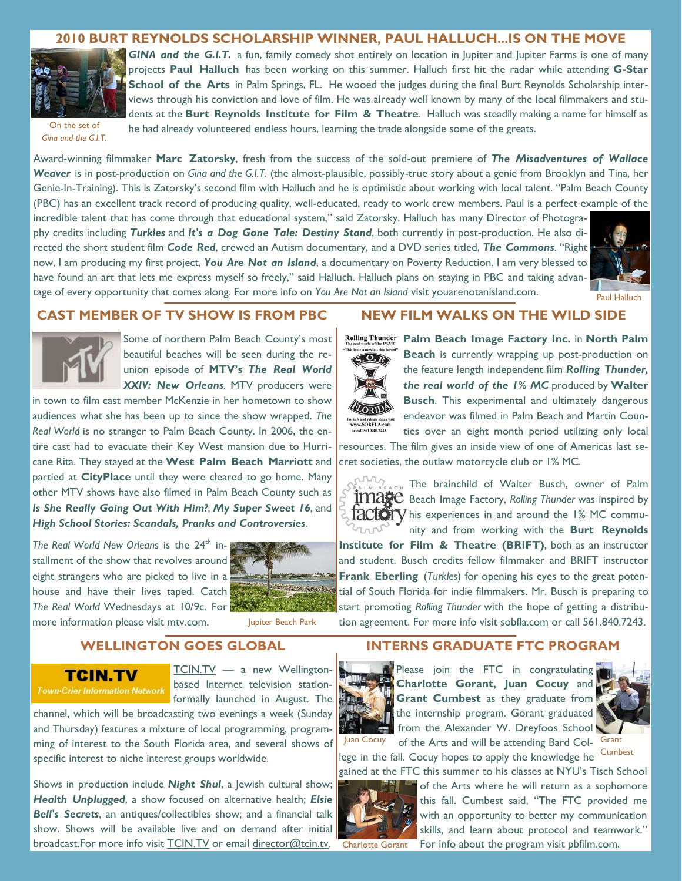#### **2010 BURT REYNOLDS SCHOLARSHIP WINNER, PAUL HALLUCH...IS ON THE MOVE**



On the set of *Gina and the G.I.T.* 

*GINA and the G.I.T.* a fun, family comedy shot entirely on location in Jupiter and Jupiter Farms is one of many projects **Paul Halluch** has been working on this summer. Halluch first hit the radar while attending **G-Star School of the Arts** in Palm Springs, FL. He wooed the judges during the final Burt Reynolds Scholarship interviews through his conviction and love of film. He was already well known by many of the local filmmakers and students at the **Burt Reynolds Institute for Film & Theatre**. Halluch was steadily making a name for himself as he had already volunteered endless hours, learning the trade alongside some of the greats.

Award-winning filmmaker **Marc Zatorsky**, fresh from the success of the sold-out premiere of *The Misadventures of Wallace Weaver* is in post-production on *Gina and the G.I.T.* (the almost-plausible, possibly-true story about a genie from Brooklyn and Tina, her Genie-In-Training). This is Zatorsky's second film with Halluch and he is optimistic about working with local talent. "Palm Beach County (PBC) has an excellent track record of producing quality, well-educated, ready to work crew members. Paul is a perfect example of the incredible talent that has come through that educational system," said Zatorsky. Halluch has many Director of Photogra-

phy credits including *Turkles* and *It's a Dog Gone Tale: Destiny Stand*, both currently in post-production. He also directed the short student film *Code Red*, crewed an Autism documentary, and a DVD series titled, *The Commons*. "Right now, I am producing my first project, *You Are Not an Island*, a documentary on Poverty Reduction. I am very blessed to have found an art that lets me express myself so freely," said Halluch. Halluch plans on staying in PBC and taking advantage of every opportunity that comes along. For more info on *You Are Not an Island* visit youarenotanisland.com.



Paul Halluch

#### **CAST MEMBER OF TV SHOW IS FROM PBC**



Some of northern Palm Beach County's most beautiful beaches will be seen during the reunion episode of **MTV's** *The Real World XXIV: New Orleans*. MTV producers were

in town to film cast member McKenzie in her hometown to show audiences what she has been up to since the show wrapped. *The Real World* is no stranger to Palm Beach County. In 2006, the entire cast had to evacuate their Key West mansion due to Hurricane Rita. They stayed at the **West Palm Beach Marriott** and partied at **CityPlace** until they were cleared to go home. Many other MTV shows have also filmed in Palm Beach County such as *Is She Really Going Out With Him?*, *My Super Sweet 16*, and *High School Stories: Scandals, Pranks and Controversies*.

The Real World New Orleans is the 24<sup>th</sup> installment of the show that revolves around eight strangers who are picked to live in a house and have their lives taped. Catch *The Real World* Wednesdays at 10/9c. For more information please visit mtv.com. Jupiter Beach Park



#### **WELLINGTON GOES GLOBAL**

#### TCIN.TV

TCIN.TV — a new Wellingtonbased Internet television stationformally launched in August. The

channel, which will be broadcasting two evenings a week (Sunday and Thursday) features a mixture of local programming, programming of interest to the South Florida area, and several shows of specific interest to niche interest groups worldwide.

Shows in production include *Night Shul*, a Jewish cultural show; *Health Unplugged*, a show focused on alternative health; *Elsie Bell's Secrets*, an antiques/collectibles show; and a financial talk show. Shows will be available live and on demand after initial broadcast.For more info visit TCIN.TV or email director@tcin.tv.

#### **NEW FILM WALKS ON THE WILD SIDE**



**Palm Beach Image Factory Inc.** in **North Palm Beach** is currently wrapping up post-production on the feature length independent film *Rolling Thunder, the real world of the 1% MC* produced by **Walter Busch**. This experimental and ultimately dangerous endeavor was filmed in Palm Beach and Martin Counties over an eight month period utilizing only local

resources. The film gives an inside view of one of Americas last secret societies, the outlaw motorcycle club or 1% MC.



The brainchild of Walter Busch, owner of Palm Beach Image Factory, *Rolling Thunder* was inspired by  $HACU$  his experiences in and around the 1% MC community and from working with the **Burt Reynolds** 

**Institute for Film & Theatre (BRIFT)**, both as an instructor and student. Busch credits fellow filmmaker and BRIFT instructor **Frank Eberling** (*Turkles*) for opening his eyes to the great potential of South Florida for indie filmmakers. Mr. Busch is preparing to start promoting *Rolling Thunder* with the hope of getting a distribution agreement. For more info visit sobfla.com or call 561.840.7243.

### **INTERNS GRADUATE FTC PROGRAM**



Please join the FTC in congratulating **Charlotte Gorant, Juan Cocuy** and **Grant Cumbest** as they graduate from the internship program. Gorant graduated from the Alexander W. Dreyfoos School Juan Cocuy of the Arts and will be attending Bard Col- Grant



lege in the fall. Cocuy hopes to apply the knowledge he gained at the FTC this summer to his classes at NYU's Tisch School Cumbest



of the Arts where he will return as a sophomore this fall. Cumbest said, "The FTC provided me with an opportunity to better my communication skills, and learn about protocol and teamwork." Charlotte Gorant For info about the program visit phfilm.com.